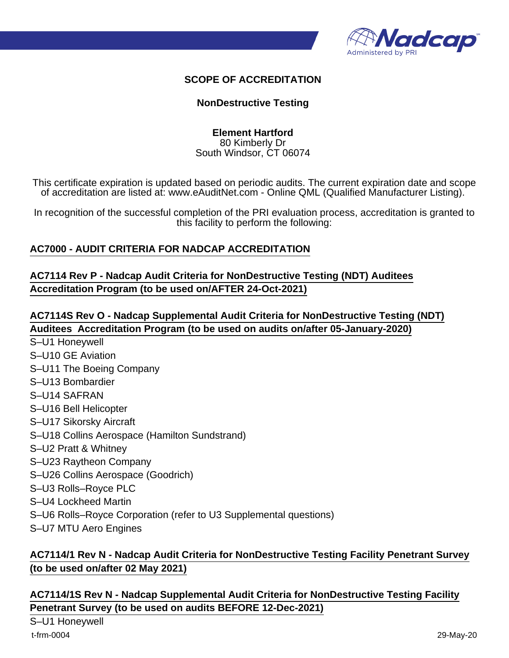

#### **SCOPE OF ACCREDITATION**

#### **NonDestructive Testing**

**Element Hartford** 80 Kimberly Dr South Windsor, CT 06074

This certificate expiration is updated based on periodic audits. The current expiration date and scope of accreditation are listed at: www.eAuditNet.com - Online QML (Qualified Manufacturer Listing).

In recognition of the successful completion of the PRI evaluation process, accreditation is granted to this facility to perform the following:

#### **AC7000 - AUDIT CRITERIA FOR NADCAP ACCREDITATION**

**AC7114 Rev P - Nadcap Audit Criteria for NonDestructive Testing (NDT) Auditees Accreditation Program (to be used on/AFTER 24-Oct-2021)**

**AC7114S Rev O - Nadcap Supplemental Audit Criteria for NonDestructive Testing (NDT) Auditees Accreditation Program (to be used on audits on/after 05-January-2020)**

- S–U1 Honeywell
- S–U10 GE Aviation
- S–U11 The Boeing Company
- S–U13 Bombardier
- S–U14 SAFRAN
- S–U16 Bell Helicopter
- S–U17 Sikorsky Aircraft
- S–U18 Collins Aerospace (Hamilton Sundstrand)
- S–U2 Pratt & Whitney
- S–U23 Raytheon Company
- S–U26 Collins Aerospace (Goodrich)
- S–U3 Rolls–Royce PLC
- S–U4 Lockheed Martin
- S–U6 Rolls–Royce Corporation (refer to U3 Supplemental questions)
- S–U7 MTU Aero Engines

## **AC7114/1 Rev N - Nadcap Audit Criteria for NonDestructive Testing Facility Penetrant Survey (to be used on/after 02 May 2021)**

**AC7114/1S Rev N - Nadcap Supplemental Audit Criteria for NonDestructive Testing Facility Penetrant Survey (to be used on audits BEFORE 12-Dec-2021)**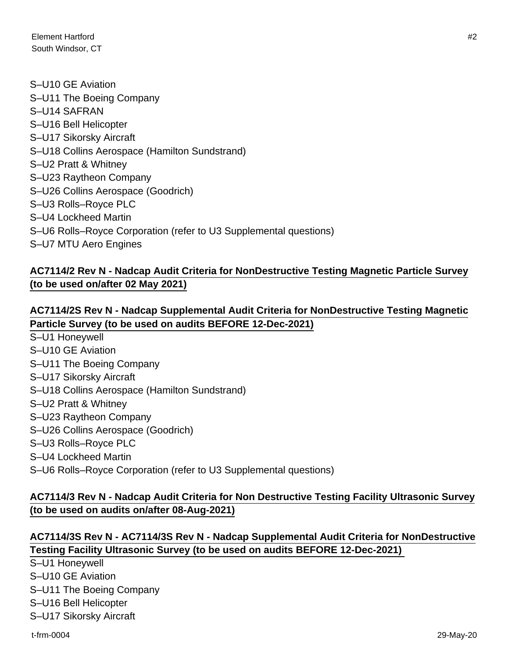- S–U10 GE Aviation S–U11 The Boeing Company S–U14 SAFRAN S–U16 Bell Helicopter S–U17 Sikorsky Aircraft S–U18 Collins Aerospace (Hamilton Sundstrand) S–U2 Pratt & Whitney S–U23 Raytheon Company S–U26 Collins Aerospace (Goodrich) S–U3 Rolls–Royce PLC S–U4 Lockheed Martin S–U6 Rolls–Royce Corporation (refer to U3 Supplemental questions)
- S–U7 MTU Aero Engines

# **AC7114/2 Rev N - Nadcap Audit Criteria for NonDestructive Testing Magnetic Particle Survey (to be used on/after 02 May 2021)**

#### **AC7114/2S Rev N - Nadcap Supplemental Audit Criteria for NonDestructive Testing Magnetic Particle Survey (to be used on audits BEFORE 12-Dec-2021)**

- S–U1 Honeywell
- S–U10 GE Aviation
- S–U11 The Boeing Company
- S–U17 Sikorsky Aircraft
- S–U18 Collins Aerospace (Hamilton Sundstrand)
- S–U2 Pratt & Whitney
- S–U23 Raytheon Company
- S–U26 Collins Aerospace (Goodrich)
- S–U3 Rolls–Royce PLC
- S–U4 Lockheed Martin
- S–U6 Rolls–Royce Corporation (refer to U3 Supplemental questions)

## **AC7114/3 Rev N - Nadcap Audit Criteria for Non Destructive Testing Facility Ultrasonic Survey (to be used on audits on/after 08-Aug-2021)**

## **AC7114/3S Rev N - AC7114/3S Rev N - Nadcap Supplemental Audit Criteria for NonDestructive Testing Facility Ultrasonic Survey (to be used on audits BEFORE 12-Dec-2021)**

S–U1 Honeywell

- S–U10 GE Aviation
- S–U11 The Boeing Company
- S–U16 Bell Helicopter
- S–U17 Sikorsky Aircraft